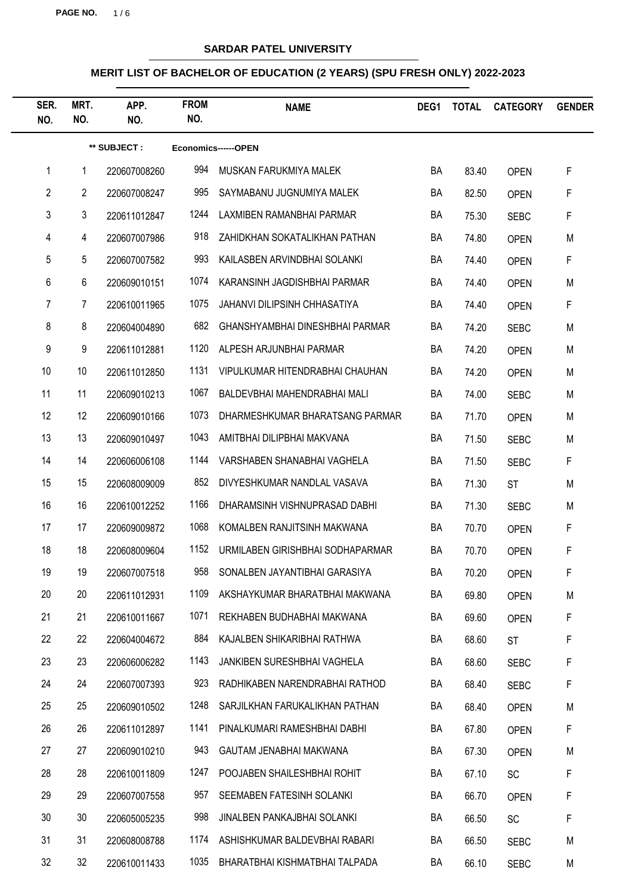**PAGE NO.** 1 / 6

# **SARDAR PATEL UNIVERSITY**

| SER.<br>NO.    | MRT.<br>NO.     | APP.<br>NO.  | <b>FROM</b><br>NO. | <b>NAME</b>                        | DEG1 | <b>TOTAL</b> | <b>CATEGORY</b> | <b>GENDER</b> |
|----------------|-----------------|--------------|--------------------|------------------------------------|------|--------------|-----------------|---------------|
|                | ** SUBJECT :    |              |                    | Economics------OPEN                |      |              |                 |               |
| 1              | 1               | 220607008260 | 994                | MUSKAN FARUKMIYA MALEK             | BA   | 83.40        | <b>OPEN</b>     | F             |
| $\overline{2}$ | $\overline{2}$  | 220607008247 | 995                | SAYMABANU JUGNUMIYA MALEK          | BA   | 82.50        | <b>OPEN</b>     | F             |
| 3              | 3               | 220611012847 | 1244               | LAXMIBEN RAMANBHAI PARMAR          | BA   | 75.30        | <b>SEBC</b>     | F             |
| 4              | $\overline{4}$  | 220607007986 | 918                | ZAHIDKHAN SOKATALIKHAN PATHAN      | BA   | 74.80        | <b>OPEN</b>     | M             |
| 5              | 5               | 220607007582 | 993                | KAILASBEN ARVINDBHAI SOLANKI       | BA   | 74.40        | <b>OPEN</b>     | F             |
| 6              | 6               | 220609010151 | 1074               | KARANSINH JAGDISHBHAI PARMAR       | BA   | 74.40        | <b>OPEN</b>     | M             |
| 7              | 7               | 220610011965 | 1075               | JAHANVI DILIPSINH CHHASATIYA       | BA   | 74.40        | <b>OPEN</b>     | F             |
| 8              | 8               | 220604004890 | 682                | GHANSHYAMBHAI DINESHBHAI PARMAR    | BA   | 74.20        | <b>SEBC</b>     | M             |
| 9              | 9               | 220611012881 | 1120               | ALPESH ARJUNBHAI PARMAR            | BA   | 74.20        | <b>OPEN</b>     | M             |
| 10             | 10 <sup>°</sup> | 220611012850 | 1131               | VIPULKUMAR HITENDRABHAI CHAUHAN    | BA   | 74.20        | <b>OPEN</b>     | M             |
| 11             | 11              | 220609010213 | 1067               | BALDEVBHAI MAHENDRABHAI MALI       | BA   | 74.00        | <b>SEBC</b>     | M             |
| 12             | 12              | 220609010166 | 1073               | DHARMESHKUMAR BHARATSANG PARMAR    | BA   | 71.70        | <b>OPEN</b>     | M             |
| 13             | 13              | 220609010497 | 1043               | AMITBHAI DILIPBHAI MAKVANA         | BA   | 71.50        | <b>SEBC</b>     | M             |
| 14             | 14              | 220606006108 | 1144               | VARSHABEN SHANABHAI VAGHELA        | BA   | 71.50        | <b>SEBC</b>     | F             |
| 15             | 15              | 220608009009 | 852                | DIVYESHKUMAR NANDLAL VASAVA        | BA   | 71.30        | <b>ST</b>       | M             |
| 16             | 16              | 220610012252 | 1166               | DHARAMSINH VISHNUPRASAD DABHI      | BA   | 71.30        | <b>SEBC</b>     | M             |
| 17             | 17              | 220609009872 | 1068               | KOMALBEN RANJITSINH MAKWANA        | BA   | 70.70        | <b>OPEN</b>     | F             |
| 18             | 18              | 220608009604 | 1152               | URMILABEN GIRISHBHAI SODHAPARMAR   | BA   | 70.70        | <b>OPEN</b>     | F             |
| 19             | 19              | 220607007518 | 958                | SONALBEN JAYANTIBHAI GARASIYA      | BA   | 70.20        | <b>OPEN</b>     | F             |
| 20             | 20              | 220611012931 | 1109               | AKSHAYKUMAR BHARATBHAI MAKWANA     | BA   | 69.80        | <b>OPEN</b>     | M             |
| 21             | 21              | 220610011667 | 1071               | REKHABEN BUDHABHAI MAKWANA         | BA   | 69.60        | <b>OPEN</b>     | F             |
| 22             | 22              | 220604004672 | 884                | KAJALBEN SHIKARIBHAI RATHWA        | BA   | 68.60        | <b>ST</b>       | F             |
| 23             | 23              | 220606006282 | 1143               | <b>JANKIBEN SURESHBHAI VAGHELA</b> | BA   | 68.60        | <b>SEBC</b>     | F             |
| 24             | 24              | 220607007393 | 923                | RADHIKABEN NARENDRABHAI RATHOD     | BA   | 68.40        | <b>SEBC</b>     | F             |
| 25             | 25              | 220609010502 | 1248               | SARJILKHAN FARUKALIKHAN PATHAN     | BA   | 68.40        | <b>OPEN</b>     | M             |
| 26             | 26              | 220611012897 | 1141               | PINALKUMARI RAMESHBHAI DABHI       | BA   | 67.80        | <b>OPEN</b>     | F             |
| 27             | 27              | 220609010210 | 943                | GAUTAM JENABHAI MAKWANA            | BA   | 67.30        | <b>OPEN</b>     | M             |
| 28             | 28              | 220610011809 | 1247               | POOJABEN SHAILESHBHAI ROHIT        | BA   | 67.10        | <b>SC</b>       | F             |
| 29             | 29              | 220607007558 | 957                | SEEMABEN FATESINH SOLANKI          | BA   | 66.70        | <b>OPEN</b>     | F             |
| 30             | 30              | 220605005235 | 998                | JINALBEN PANKAJBHAI SOLANKI        | BA   | 66.50        | <b>SC</b>       | F             |
| 31             | 31              | 220608008788 | 1174               | ASHISHKUMAR BALDEVBHAI RABARI      | BA   | 66.50        | <b>SEBC</b>     | M             |
| 32             | 32              | 220610011433 | 1035               | BHARATBHAI KISHMATBHAI TALPADA     | BA   | 66.10        | <b>SEBC</b>     | M             |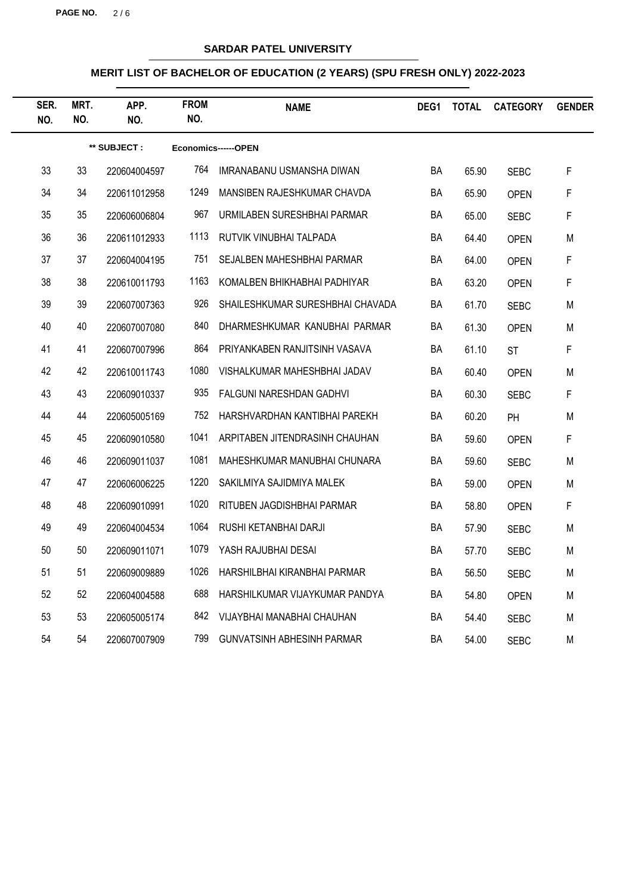**PAGE NO.** 2 / 6

# **SARDAR PATEL UNIVERSITY**

| SER.<br>NO. | MRT.<br>NO. | APP.<br>NO.  | <b>FROM</b><br>NO. | <b>NAME</b>                       | DEG1 | <b>TOTAL</b> | <b>CATEGORY</b> | <b>GENDER</b> |
|-------------|-------------|--------------|--------------------|-----------------------------------|------|--------------|-----------------|---------------|
|             |             | ** SUBJECT : |                    | Economics------OPEN               |      |              |                 |               |
| 33          | 33          | 220604004597 | 764                | IMRANABANU USMANSHA DIWAN         | BA   | 65.90        | <b>SEBC</b>     | F             |
| 34          | 34          | 220611012958 | 1249               | MANSIBEN RAJESHKUMAR CHAVDA       | BA   | 65.90        | <b>OPEN</b>     | F             |
| 35          | 35          | 220606006804 | 967                | URMILABEN SURESHBHAI PARMAR       | BA   | 65.00        | <b>SEBC</b>     | F             |
| 36          | 36          | 220611012933 | 1113               | RUTVIK VINUBHAI TALPADA           | BA   | 64.40        | <b>OPEN</b>     | M             |
| 37          | 37          | 220604004195 | 751                | SEJALBEN MAHESHBHAI PARMAR        | BA   | 64.00        | <b>OPEN</b>     | F             |
| 38          | 38          | 220610011793 | 1163               | KOMALBEN BHIKHABHAI PADHIYAR      | BA   | 63.20        | <b>OPEN</b>     | F             |
| 39          | 39          | 220607007363 | 926                | SHAILESHKUMAR SURESHBHAI CHAVADA  | BA   | 61.70        | <b>SEBC</b>     | M             |
| 40          | 40          | 220607007080 | 840                | DHARMESHKUMAR KANUBHAI PARMAR     | BA   | 61.30        | <b>OPEN</b>     | M             |
| 41          | 41          | 220607007996 | 864                | PRIYANKABEN RANJITSINH VASAVA     | BA   | 61.10        | <b>ST</b>       | F             |
| 42          | 42          | 220610011743 | 1080               | VISHALKUMAR MAHESHBHAI JADAV      | BA   | 60.40        | <b>OPEN</b>     | M             |
| 43          | 43          | 220609010337 | 935                | <b>FALGUNI NARESHDAN GADHVI</b>   | BA   | 60.30        | <b>SEBC</b>     | $\mathsf F$   |
| 44          | 44          | 220605005169 | 752                | HARSHVARDHAN KANTIBHAI PAREKH     | BA   | 60.20        | PH              | M             |
| 45          | 45          | 220609010580 | 1041               | ARPITABEN JITENDRASINH CHAUHAN    | BA   | 59.60        | <b>OPEN</b>     | $\mathsf F$   |
| 46          | 46          | 220609011037 | 1081               | MAHESHKUMAR MANUBHAI CHUNARA      | BA   | 59.60        | <b>SEBC</b>     | M             |
| 47          | 47          | 220606006225 | 1220               | SAKILMIYA SAJIDMIYA MALEK         | BA   | 59.00        | <b>OPEN</b>     | M             |
| 48          | 48          | 220609010991 | 1020               | RITUBEN JAGDISHBHAI PARMAR        | BA   | 58.80        | <b>OPEN</b>     | F             |
| 49          | 49          | 220604004534 | 1064               | RUSHI KETANBHAI DARJI             | BA   | 57.90        | <b>SEBC</b>     | M             |
| 50          | 50          | 220609011071 | 1079               | YASH RAJUBHAI DESAI               | BA   | 57.70        | <b>SEBC</b>     | M             |
| 51          | 51          | 220609009889 | 1026               | HARSHILBHAI KIRANBHAI PARMAR      | BA   | 56.50        | <b>SEBC</b>     | M             |
| 52          | 52          | 220604004588 | 688                | HARSHILKUMAR VIJAYKUMAR PANDYA    | BA   | 54.80        | <b>OPEN</b>     | M             |
| 53          | 53          | 220605005174 | 842                | VIJAYBHAI MANABHAI CHAUHAN        | BA   | 54.40        | <b>SEBC</b>     | M             |
| 54          | 54          | 220607007909 | 799                | <b>GUNVATSINH ABHESINH PARMAR</b> | BA   | 54.00        | <b>SEBC</b>     | M             |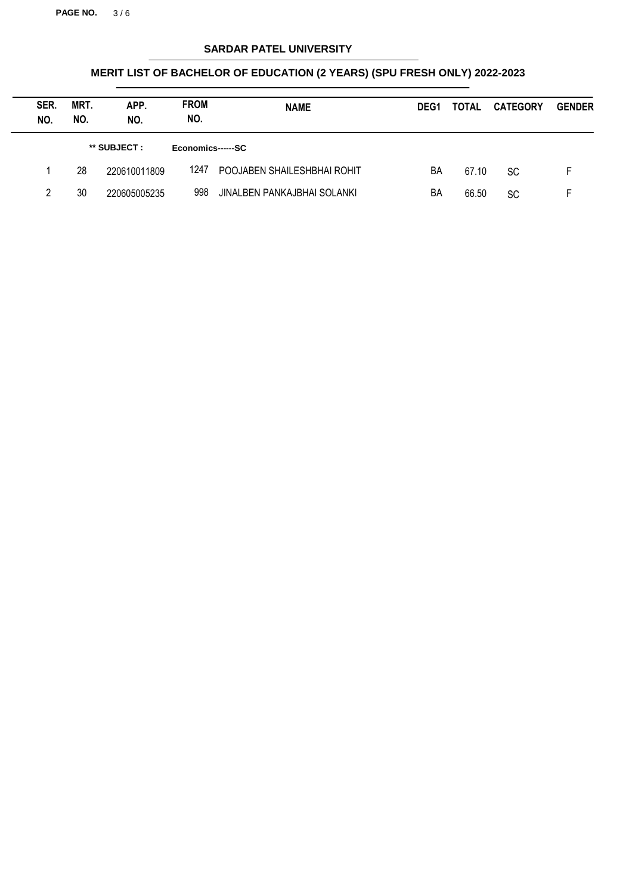**PAGE NO.** 3 / 6

# **SARDAR PATEL UNIVERSITY**

| SER.<br>NO. | MRT.<br>NO. | APP.<br>NO.  | <b>FROM</b><br>NO. | <b>NAME</b>                 | DEG <sub>1</sub> | TOTAL | <b>CATEGORY</b> | <b>GENDER</b> |
|-------------|-------------|--------------|--------------------|-----------------------------|------------------|-------|-----------------|---------------|
|             |             | ** SUBJECT : | Economics------SC  |                             |                  |       |                 |               |
|             | 28          | 220610011809 | 1247               | POOJABEN SHAILESHBHAI ROHIT | BA               | 67.10 | <b>SC</b>       | E.            |
| 2           | 30          | 220605005235 | 998                | JINALBEN PANKAJBHAI SOLANKI | BA               | 66.50 | SC              |               |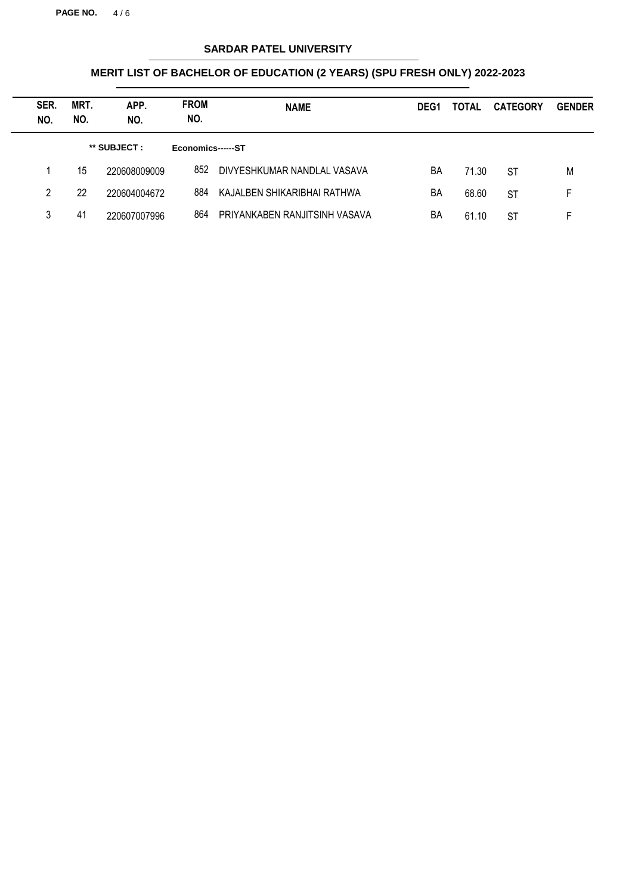**PAGE NO.** 4 / 6

# **SARDAR PATEL UNIVERSITY**

| SER.<br>NO. | MRT.<br>NO. | APP.<br>NO.  | <b>FROM</b><br>NO. | <b>NAME</b>                   | DEG <sub>1</sub> | TOTAL | <b>CATEGORY</b> | <b>GENDER</b> |
|-------------|-------------|--------------|--------------------|-------------------------------|------------------|-------|-----------------|---------------|
|             |             | ** SUBJECT : | Economics------ST  |                               |                  |       |                 |               |
|             | 15          | 220608009009 | 852                | DIVYESHKUMAR NANDLAL VASAVA   | BA               | 71.30 | <b>ST</b>       | M             |
| 2           | 22          | 220604004672 | 884                | KAJALBEN SHIKARIBHAI RATHWA   | BA               | 68.60 | <b>ST</b>       | F.            |
| 3           | 41          | 220607007996 | 864                | PRIYANKABEN RANJITSINH VASAVA | BA               | 61.10 | <b>ST</b>       | Е             |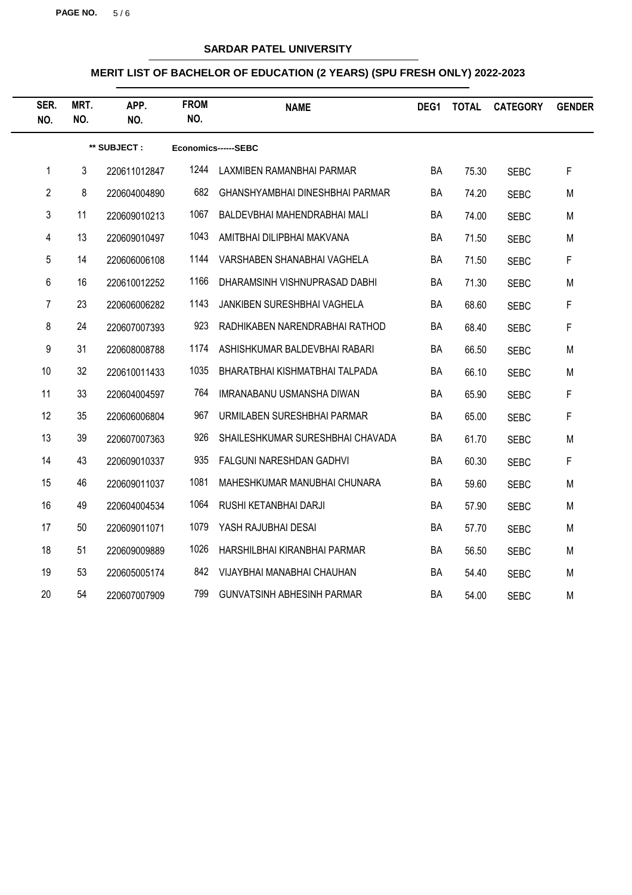**PAGE NO.** 5 / 6

# **SARDAR PATEL UNIVERSITY**

| SER.<br>NO.    | MRT.<br>NO. | APP.<br>NO.  | <b>FROM</b><br>NO. | <b>NAME</b>                       | DEG1      | <b>TOTAL</b> | <b>CATEGORY</b> | <b>GENDER</b> |
|----------------|-------------|--------------|--------------------|-----------------------------------|-----------|--------------|-----------------|---------------|
|                |             | ** SUBJECT : |                    | Economics------SEBC               |           |              |                 |               |
| 1              | 3           | 220611012847 | 1244               | LAXMIBEN RAMANBHAI PARMAR         | BA        | 75.30        | <b>SEBC</b>     | F             |
| $\overline{2}$ | 8           | 220604004890 | 682                | GHANSHYAMBHAI DINESHBHAI PARMAR   | <b>BA</b> | 74.20        | <b>SEBC</b>     | M             |
| 3              | 11          | 220609010213 | 1067               | BALDEVBHAI MAHENDRABHAI MALI      | BA        | 74.00        | <b>SEBC</b>     | M             |
| 4              | 13          | 220609010497 | 1043               | AMITBHAI DILIPBHAI MAKVANA        | BA        | 71.50        | <b>SEBC</b>     | M             |
| 5              | 14          | 220606006108 | 1144               | VARSHABEN SHANABHAI VAGHELA       | <b>BA</b> | 71.50        | <b>SEBC</b>     | $\mathsf F$   |
| 6              | 16          | 220610012252 | 1166               | DHARAMSINH VISHNUPRASAD DABHI     | BA        | 71.30        | <b>SEBC</b>     | M             |
| $\overline{7}$ | 23          | 220606006282 | 1143               | JANKIBEN SURESHBHAI VAGHELA       | BA        | 68.60        | <b>SEBC</b>     | $\mathsf F$   |
| 8              | 24          | 220607007393 | 923                | RADHIKABEN NARENDRABHAI RATHOD    | BA        | 68.40        | <b>SEBC</b>     | F             |
| 9              | 31          | 220608008788 | 1174               | ASHISHKUMAR BALDEVBHAI RABARI     | BA        | 66.50        | <b>SEBC</b>     | M             |
| 10             | 32          | 220610011433 | 1035               | BHARATBHAI KISHMATBHAI TALPADA    | BA        | 66.10        | <b>SEBC</b>     | M             |
| 11             | 33          | 220604004597 | 764                | IMRANABANU USMANSHA DIWAN         | BA        | 65.90        | <b>SEBC</b>     | F             |
| 12             | 35          | 220606006804 | 967                | URMILABEN SURESHBHAI PARMAR       | BA        | 65.00        | <b>SEBC</b>     | F             |
| 13             | 39          | 220607007363 | 926                | SHAILESHKUMAR SURESHBHAI CHAVADA  | BA        | 61.70        | <b>SEBC</b>     | M             |
| 14             | 43          | 220609010337 | 935                | <b>FALGUNI NARESHDAN GADHVI</b>   | BA        | 60.30        | <b>SEBC</b>     | F             |
| 15             | 46          | 220609011037 | 1081               | MAHESHKUMAR MANUBHAI CHUNARA      | BA        | 59.60        | <b>SEBC</b>     | M             |
| 16             | 49          | 220604004534 | 1064               | RUSHI KETANBHAI DARJI             | BA        | 57.90        | <b>SEBC</b>     | M             |
| 17             | 50          | 220609011071 | 1079               | YASH RAJUBHAI DESAI               | <b>BA</b> | 57.70        | <b>SEBC</b>     | M             |
| 18             | 51          | 220609009889 | 1026               | HARSHILBHAI KIRANBHAI PARMAR      | <b>BA</b> | 56.50        | <b>SEBC</b>     | M             |
| 19             | 53          | 220605005174 | 842                | VIJAYBHAI MANABHAI CHAUHAN        | BA        | 54.40        | <b>SEBC</b>     | M             |
| 20             | 54          | 220607007909 | 799                | <b>GUNVATSINH ABHESINH PARMAR</b> | BA        | 54.00        | <b>SEBC</b>     | M             |